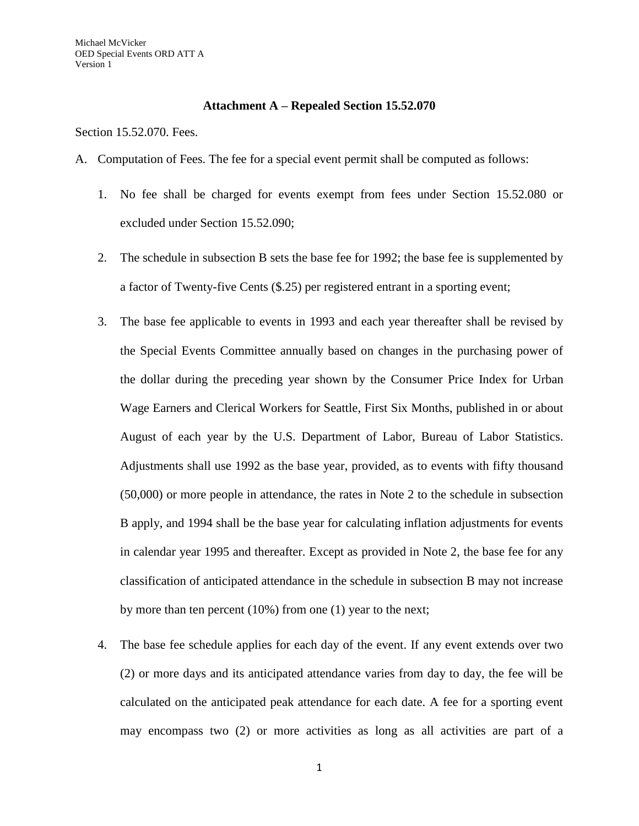## **Attachment A – Repealed Section 15.52.070**

Section 15.52.070. Fees.

- A. Computation of Fees. The fee for a special event permit shall be computed as follows:
	- 1. No fee shall be charged for events exempt from fees under Section 15.52.080 or excluded under Section 15.52.090;
	- 2. The schedule in subsection B sets the base fee for 1992; the base fee is supplemented by a factor of Twenty-five Cents (\$.25) per registered entrant in a sporting event;
	- 3. The base fee applicable to events in 1993 and each year thereafter shall be revised by the Special Events Committee annually based on changes in the purchasing power of the dollar during the preceding year shown by the Consumer Price Index for Urban Wage Earners and Clerical Workers for Seattle, First Six Months, published in or about August of each year by the U.S. Department of Labor, Bureau of Labor Statistics. Adjustments shall use 1992 as the base year, provided, as to events with fifty thousand (50,000) or more people in attendance, the rates in Note 2 to the schedule in subsection B apply, and 1994 shall be the base year for calculating inflation adjustments for events in calendar year 1995 and thereafter. Except as provided in Note 2, the base fee for any classification of anticipated attendance in the schedule in subsection B may not increase by more than ten percent (10%) from one (1) year to the next;
	- 4. The base fee schedule applies for each day of the event. If any event extends over two (2) or more days and its anticipated attendance varies from day to day, the fee will be calculated on the anticipated peak attendance for each date. A fee for a sporting event may encompass two (2) or more activities as long as all activities are part of a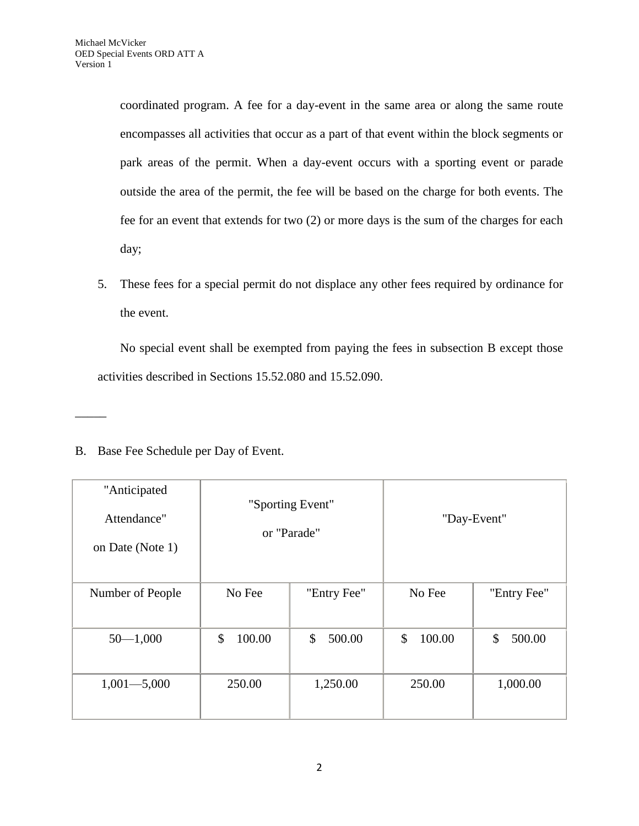coordinated program. A fee for a day-event in the same area or along the same route encompasses all activities that occur as a part of that event within the block segments or park areas of the permit. When a day-event occurs with a sporting event or parade outside the area of the permit, the fee will be based on the charge for both events. The fee for an event that extends for two (2) or more days is the sum of the charges for each day;

5. These fees for a special permit do not displace any other fees required by ordinance for the event.

No special event shall be exempted from paying the fees in subsection B except those activities described in Sections 15.52.080 and 15.52.090.

B. Base Fee Schedule per Day of Event.

\_\_\_\_\_

| "Anticipated<br>Attendance"<br>on Date (Note 1) | "Sporting Event"<br>or "Parade" |              | "Day-Event"  |              |
|-------------------------------------------------|---------------------------------|--------------|--------------|--------------|
| Number of People                                | No Fee                          | "Entry Fee"  | No Fee       | "Entry Fee"  |
| $50 - 1,000$                                    | \$<br>100.00                    | \$<br>500.00 | \$<br>100.00 | \$<br>500.00 |
| $1,001 - 5,000$                                 | 250.00                          | 1,250.00     | 250.00       | 1,000.00     |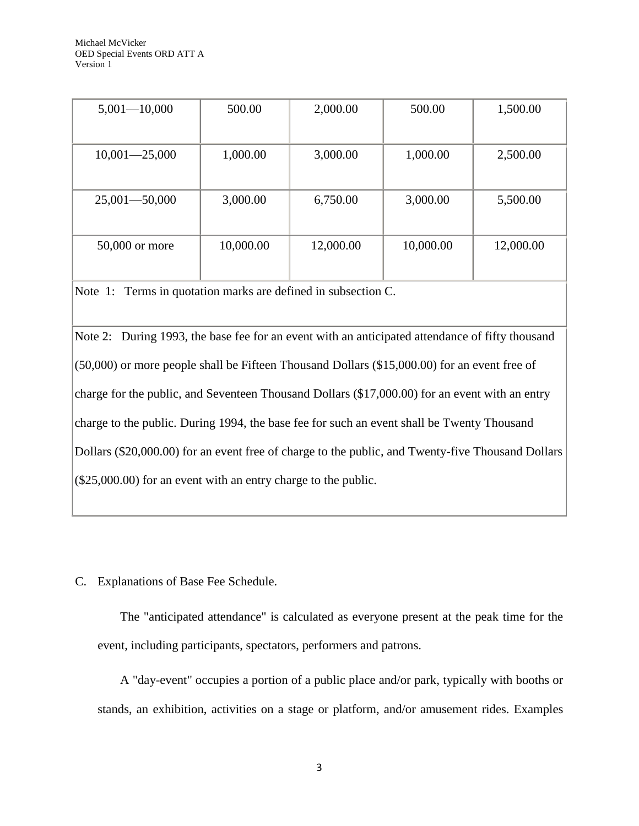| $5,001 - 10,000$  | 500.00    | 2,000.00  | 500.00    | 1,500.00  |
|-------------------|-----------|-----------|-----------|-----------|
|                   |           |           |           |           |
| $10,001 - 25,000$ | 1,000.00  | 3,000.00  | 1,000.00  | 2,500.00  |
|                   |           |           |           |           |
| $25,001 - 50,000$ | 3,000.00  | 6,750.00  | 3,000.00  | 5,500.00  |
|                   |           |           |           |           |
| 50,000 or more    | 10,000.00 | 12,000.00 | 10,000.00 | 12,000.00 |
|                   |           |           |           |           |

Note 1: Terms in quotation marks are defined in subsection C.

Note 2: During 1993, the base fee for an event with an anticipated attendance of fifty thousand (50,000) or more people shall be Fifteen Thousand Dollars (\$15,000.00) for an event free of charge for the public, and Seventeen Thousand Dollars (\$17,000.00) for an event with an entry charge to the public. During 1994, the base fee for such an event shall be Twenty Thousand Dollars (\$20,000.00) for an event free of charge to the public, and Twenty-five Thousand Dollars (\$25,000.00) for an event with an entry charge to the public.

C. Explanations of Base Fee Schedule.

The "anticipated attendance" is calculated as everyone present at the peak time for the event, including participants, spectators, performers and patrons.

A "day-event" occupies a portion of a public place and/or park, typically with booths or stands, an exhibition, activities on a stage or platform, and/or amusement rides. Examples